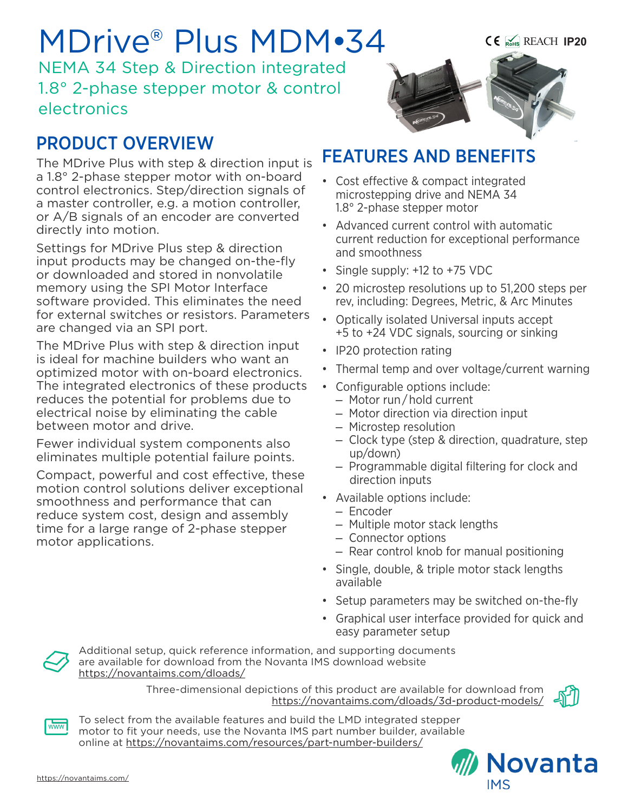# MDrive® Plus MDM•34

NEMA 34 Step & Direction integrated 1.8° 2-phase stepper motor & control electronics

## PRODUCT OVERVIEW

The MDrive Plus with step & direction input is a 1.8° 2-phase stepper motor with on-board control electronics. Step/direction signals of a master controller, e.g. a motion controller, or A/B signals of an encoder are converted directly into motion.

Settings for MDrive Plus step & direction input products may be changed on-the-fly or downloaded and stored in nonvolatile memory using the SPI Motor Interface software provided. This eliminates the need for external switches or resistors. Parameters are changed via an SPI port.

The MDrive Plus with step & direction input is ideal for machine builders who want an optimized motor with on-board electronics. The integrated electronics of these products reduces the potential for problems due to electrical noise by eliminating the cable between motor and drive.

Fewer individual system components also eliminates multiple potential failure points.

Compact, powerful and cost effective, these motion control solutions deliver exceptional smoothness and performance that can reduce system cost, design and assembly time for a large range of 2-phase stepper motor applications.



## FEATURES AND BENEFITS

- Cost effective & compact integrated microstepping drive and NEMA 34 1.8° 2-phase stepper motor
- Advanced current control with automatic current reduction for exceptional performance and smoothness
- Single supply: +12 to +75 VDC
- 20 microstep resolutions up to 51,200 steps per rev, including: Degrees, Metric, & Arc Minutes
- Optically isolated Universal inputs accept +5 to +24 VDC signals, sourcing or sinking
- IP20 protection rating
- Thermal temp and over voltage/current warning
- Configurable options include:
	- Motor run / hold current
	- Motor direction via direction input
	- Microstep resolution
	- Clock type (step & direction, quadrature, step up/down)
	- Programmable digital filtering for clock and direction inputs
- Available options include:
	- Encoder
	- Multiple motor stack lengths
	- Connector options
	- Rear control knob for manual positioning
- Single, double, & triple motor stack lengths available
- Setup parameters may be switched on-the-fly
- Graphical user interface provided for quick and easy parameter setup



Additional setup, quick reference information, and supporting documents are available for download from the Novanta IMS download website https://novantaims.com/dloads/

> Three-dimensional depictions of this product are available for download from <https://novantaims.com/dloads/3d-product-models/>



 $\overline{\text{www}}$ 

To select from the available features and build the LMD integrated stepper motor to fit your needs, use the Novanta IMS part number builder, available online at <https://novantaims.com/resources/part-number-builders/>